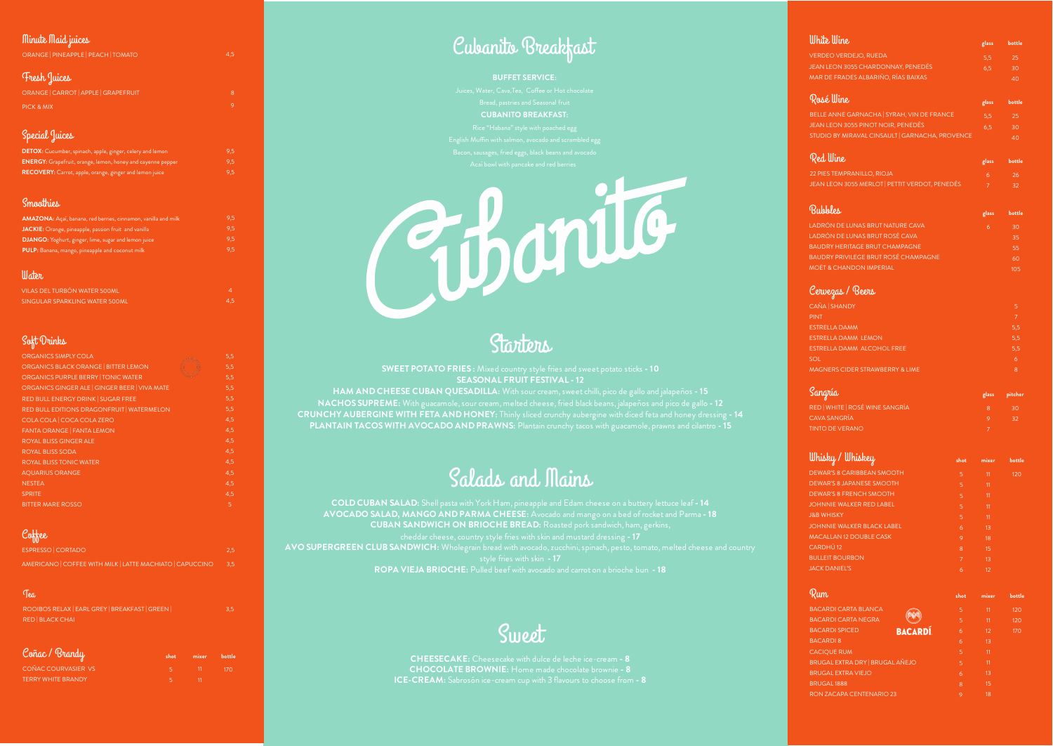# Starters

#### **SWEET POTATO FRIES :** Mixed country style fries and sweet potato sticks **- 10 SEASONAL FRUIT FESTIVAL - 12**

**HAM AND CHEESE CUBAN QUESADILLA:** With sour cream, sweet chilli, pico de gallo and jalapeños **- 15 NACHOS SUPREME:** With guacamole, sour cream, melted cheese, fried black beans, jalapeños and pico de gallo **- 12 CRUNCHY AUBERGINE WITH FETA AND HONEY:** Thinly sliced crunchy aubergine with diced feta and honey dressing **- 14 PLANTAIN TACOS WITH AVOCADO AND PRAWNS:** Plantain crunchy tacos with guacamole, prawns and cilantro **- 15**

# Salads and Mains

**COLD CUBAN SALAD:** Shell pasta with York Ham, pineapple and Edam cheese on a buttery lettuce leaf **- 14 AVOCADO SALAD, MANGO AND PARMA CHEESE:** Avocado and mango on a bed of rocket and Parma **- 18 CUBAN SANDWICH ON BRIOCHE BREAD:** Roasted pork sandwich, ham, gerkins, cheddar cheese, country style fries with skin and mustard dressing **- 17 AVO SUPERGREEN CLUB SANDWICH:** Wholegrain bread with avocado, zucchini, spinach, pesto, tomato, melted cheese and country **ROPA VIEJA BRIOCHE:** Pulled beef with avocado and carrot on a brioche bun **- 18**

# **Sweet**

**CHEESECAKE:** Cheesecake with dulce de leche ice-cream **- 8 CHOCOLATE BROWNIE:** Home made chocolate brownie **- 8 ICE-CREAM:** Sabrosón ice-cream cup with 3 flavours to choose from **- 8**

VILAS DEL TURBÓN WATER 500ML SINGULAR SPARKLING WATER 500ML

4,5

## Soft Drinks

| <b>ORGANICS SIMPLY COLA</b>                | 5,5 |
|--------------------------------------------|-----|
| ORGANICS BLACK ORANGE   BITTER LEMON       | 5,5 |
| ORGANICS PURPLE BERRY   TONIC WATER        | 5,5 |
| ORGANICS GINGER ALE GINGER BEER VIVA MATE  | 5,5 |
| RED BULL ENERGY DRINK   SUGAR FREE         | 5,5 |
| RED BULL EDITIONS DRAGONFRUIT   WATERMELON | 5,5 |
| COLA COLA   COCA COLA ZERO                 | 4,5 |
| <b>FANTA ORANGE   FANTA LEMON</b>          | 4,5 |
| <b>ROYAL BLISS GINGER ALE</b>              | 4,5 |
| <b>ROYAL BLISS SODA</b>                    | 4,5 |
| <b>ROYAL BLISS TONIC WATER</b>             | 4,5 |
| <b>AQUARIUS ORANGE</b>                     | 4,5 |
| <b>NESTEA</b>                              | 4,5 |
| <b>SPRITE</b>                              | 4,5 |
| <b>BITTER MARE ROSSO</b>                   | 5   |

# Coffee

#### **mixer bottle**  $170$

| ESPRESSO CORTADO                                    | 2.5 |
|-----------------------------------------------------|-----|
| AMERICANO COFFEE WITH MILK LATTE MACHIATO CAPUCCINO | 3.5 |

### Tea

 $9<sub>5</sub>$ 9,5

ROOIBOS RELAX | EARL GREY | BREAKFAST | GREEN | RED | BLACK CHAI

3,5

### Cervezas / Beers

| CAÑA   SHANDY                              |     |
|--------------------------------------------|-----|
|                                            |     |
| <b>PINT</b>                                |     |
| <b>ESTRELLA DAMM</b>                       | 5,5 |
| <b>ESTRELLA DAMM LEMON</b>                 | 5,5 |
| ESTRELLA DAMM ALCOHOL FREE                 | 5,5 |
| <b>SOL</b>                                 | 6   |
| <b>MAGNERS CIDER STRAWBERRY &amp; LIME</b> | 8   |

Bacon, sausages, fried eggs, black beans and avocado Acaí bowl with pancake and red berries

| Sangría                     | glass pitcher |
|-----------------------------|---------------|
| RED WHITE ROSÉ WINE SANGRÍA | 30.           |
| CAVA SANGRÍA                |               |
| <b>TINTO DE VERANO</b>      |               |

| White Wine                                     | glass          | bottle |
|------------------------------------------------|----------------|--------|
| <b>VERDEO VERDEJO, RUEDA</b>                   | 5,5            | 25     |
| <b>JEAN LEON 3055 CHARDONNAY, PENEDÉS</b>      | 6,5            | 30     |
| <b>MAR DE FRADES ALBARIÑO, RÍAS BAIXAS</b>     |                | 40     |
| Rosé Wine                                      | glass          | bottle |
| BELLE ANNE GARNACHA   SYRAH, VIN DE FRANCE     | 5,5            | 25     |
| JEAN LEON 3055 PINOT NOIR, PENEDÉS             | 6,5            | 30     |
| STUDIO BY MIRAVAL CINSAULT GARNACHA, PROVENCE  |                | 40     |
| Red Wine                                       | glass          | bottle |
| 22 PIES TEMPRANILLO, RIOJA                     | 6              | 26     |
| JEAN LEON 3055 MERLOT   PETTIT VERDOT, PENEDÉS | $\overline{7}$ | 32     |
| Bubbles                                        | glass          | bottle |
| LADRÓN DE LUNAS BRUT NATURE CAVA               | 6              | 30     |
| LADRÓN DE LUNAS BRUT ROSÉ CAVA                 |                | 35     |

| <b>BAUDRY HERITAGE BRUT CHAMPAGNE</b> | '55 . |
|---------------------------------------|-------|
| BAUDRY PRIVILEGE BRUT ROSÉ CHAMPAGNE  | .60   |
| <b>MOËT &amp; CHANDON IMPERIAL</b>    | 105.  |

| <u>Whis</u> ky / Whiskey          | shot         | mixer | bottle |
|-----------------------------------|--------------|-------|--------|
| <b>DEWAR'S 8 CARIBBEAN SMOOTH</b> | 5            | 11    | 120    |
| <b>DEWAR'S 8 JAPANESE SMOOTH</b>  | 5            | 11    |        |
| DEWAR'S 8 FRENCH SMOOTH           | 5            | 11    |        |
| <b>JOHNNIE WALKER RED LABEL</b>   | 5            | 11    |        |
| <b>J&amp;B WHISKY</b>             | 5            | 11    |        |
| <b>JOHNNIE WALKER BLACK LABEL</b> | 6            | 13    |        |
| <b>MACALLAN 12 DOUBLE CASK</b>    | 9            | 18    |        |
| CARDHÚ 12                         | $\mathsf{R}$ | 15    |        |
| <b>BULLEIT BOURBON</b>            | 7            | 13    |        |
| <b>JACK DANIEL'S</b>              | 6            | 12    |        |
|                                   |              |       |        |

### Rum

| <b>BACARDI CARTA BLANCA</b>            |               |
|----------------------------------------|---------------|
| <b>BACARDI CARTA NEGRA</b>             |               |
| <b>BACARDI SPICED</b>                  | <b>BACARD</b> |
| <b>BACARDI 8</b>                       |               |
| <b>CACIQUE RUM</b>                     |               |
| <b>BRUGAL EXTRA DRY   BRUGAL AÑEJO</b> |               |
| <b>BRUGAL EXTRA VIEJO</b>              |               |
| <b>BRUGAL1888</b>                      |               |
| RON ZACAPA CENTENARIO 23               |               |

| shot | mixer | bottle |
|------|-------|--------|
| 5    | 11    | 120    |
| 5    | 11    | 120    |
| 6    | 12    | 170    |
| 6    | 13    |        |
| 5    | 11    |        |
| 5    | 11    |        |
| 6    | 13    |        |
| 8    | 15    |        |
| 9    | 18    |        |

# Coñac / Brandy

| <b>COÑAC COURVASIER VS</b> |  |
|----------------------------|--|
| <b>TERRY WHITE BRANDY</b>  |  |

**shot**

#### Minute Maid juices

9,5 9,5 9,5

| <b>DETOX:</b> Cucumber, spinach, apple, ginger, celery and lemon   |
|--------------------------------------------------------------------|
| <b>ENERGY:</b> Grapefruit, orange, lemon, honey and cayenne pepper |
| RECOVERY: Carrot, apple, orange, ginger and lemon juice            |

9,5

#### Smoothies

| ORANGE   PINEAPPLE   PEACH   TOMATO  | 4,5 |
|--------------------------------------|-----|
| Fresh Juices                         |     |
| ORANGE   CARROT   APPLE   GRAPEFRUIT | 8   |
| PICK & MIX                           | 9   |
| Special Juices                       |     |

| <b>AMAZONA:</b> Açaí, banana, red berries, cinnamon, vanilla and milk |
|-----------------------------------------------------------------------|
| JACKIE: Orange, pineapple, passion fruit and vanilla                  |
| <b>DJANGO:</b> Yoghurt, ginger, lime, sugar and lemon juice           |
| PULP: Banana, mango, pineapple and coconut milk                       |

#### *<u>Water</u>*

# Cubanito Breakfast

#### **BUFFET SERVICE:**

Bread, pastries and Seasonal fruit **CUBANITO BREAKFAST:**